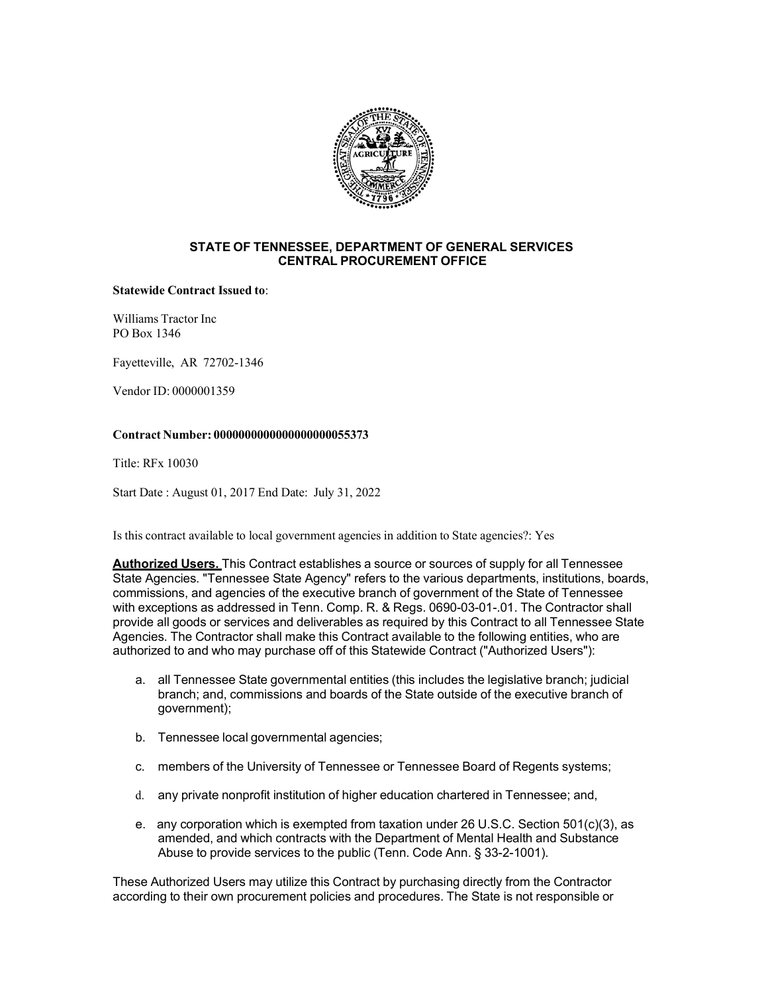

## **STATE OF TENNESSEE, DEPARTMENT OF GENERAL SERVICES CENTRAL PROCUREMENT OFFICE**

#### **Statewide Contract Issued to**:

Williams Tractor Inc PO Box 1346

Fayetteville, AR 72702-1346

Vendor ID: 0000001359

## **Contract Number: 0000000000000000000055373**

Title: RFx 10030

Start Date : August 01, 2017 End Date: July 31, 2022

Is this contract available to local government agencies in addition to State agencies?: Yes

**Authorized Users.** This Contract establishes a source or sources of supply for all Tennessee State Agencies. "Tennessee State Agency" refers to the various departments, institutions, boards, commissions, and agencies of the executive branch of government of the State of Tennessee with exceptions as addressed in Tenn. Comp. R. & Regs. 0690-03-01-.01. The Contractor shall provide all goods or services and deliverables as required by this Contract to all Tennessee State Agencies. The Contractor shall make this Contract available to the following entities, who are authorized to and who may purchase off of this Statewide Contract ("Authorized Users"):

- a. all Tennessee State governmental entities (this includes the legislative branch; judicial branch; and, commissions and boards of the State outside of the executive branch of government);
- b. Tennessee local governmental agencies;
- c. members of the University of Tennessee or Tennessee Board of Regents systems;
- d. any private nonprofit institution of higher education chartered in Tennessee; and,
- e. any corporation which is exempted from taxation under 26 U.S.C. Section 501(c)(3), as amended, and which contracts with the Department of Mental Health and Substance Abuse to provide services to the public (Tenn. Code Ann. § 33-2-1001).

These Authorized Users may utilize this Contract by purchasing directly from the Contractor according to their own procurement policies and procedures. The State is not responsible or